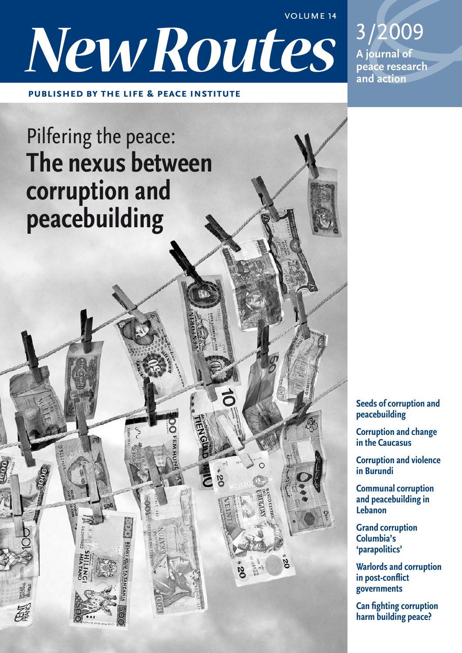**VOLUME 14** 

3/2009

peace research

A journal of

and action



**PUBLISHED BY THE LIFE & PEACE INSTITUTE** 

# Pilfering the peace: The nexus between corruption and peacebuilding

**Seeds of corruption and** peacebuilding

**Corruption and change** in the Caucasus

**Corruption and violence** in Burundi

**Communal corruption** and peacebuilding in Lebanon

**Grand corruption** Columbia's 'parapolitics'

**Warlords and corruption** in post-conflict governments

**Can fighting corruption** harm building peace?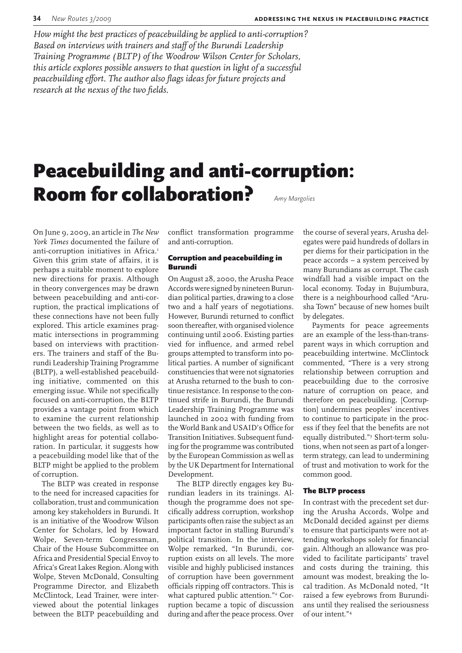How might the best practices of peacebuilding be applied to anti-corruption? Based on interviews with trainers and staff of the Burundi Leadership Training Programme (BLTP) of the Woodrow Wilson Center for Scholars, this article explores possible answers to that question in light of a successful peacebuilding effort. The author also flags ideas for future projects and research at the nexus of the two fields.

## **Peacebuilding and anti-corruption: Room for collaboration?** Amy Margolies

On June 9, 2009, an article in The New York Times documented the failure of anti-corruption initiatives in Africa.<sup>1</sup> Given this grim state of affairs, it is perhaps a suitable moment to explore new directions for praxis. Although in theory convergences may be drawn between peacebuilding and anti-corruption, the practical implications of these connections have not been fully explored. This article examines pragmatic intersections in programming based on interviews with practitioners. The trainers and staff of the Burundi Leadership Training Programme (BLTP), a well-established peacebuilding initiative, commented on this emerging issue. While not specifically focused on anti-corruption, the BLTP provides a vantage point from which to examine the current relationship between the two fields, as well as to highlight areas for potential collaboration. In particular, it suggests how a peacebuilding model like that of the BLTP might be applied to the problem of corruption.

The BLTP was created in response to the need for increased capacities for collaboration, trust and communication among key stakeholders in Burundi. It is an initiative of the Woodrow Wilson Center for Scholars, led by Howard Wolpe, Seven-term Congressman, Chair of the House Subcommittee on Africa and Presidential Special Envoy to Africa's Great Lakes Region. Along with Wolpe, Steven McDonald, Consulting Programme Director, and Elizabeth McClintock, Lead Trainer, were interviewed about the potential linkages between the BLTP peacebuilding and

conflict transformation programme and anti-corruption.

### **Corruption and peacebuilding in Burundi**

On August 28, 2000, the Arusha Peace Accords were signed by nineteen Burundian political parties, drawing to a close two and a half years of negotiations. However, Burundi returned to conflict soon thereafter, with organised violence continuing until 2006. Existing parties vied for influence, and armed rebel groups attempted to transform into political parties. A number of significant constituencies that were not signatories at Arusha returned to the bush to continue resistance. In response to the continued strife in Burundi, the Burundi Leadership Training Programme was launched in 2002 with funding from the World Bank and USAID's Office for Transition Initiatives. Subsequent funding for the programme was contributed by the European Commission as well as by the UK Department for International Development.

The BLTP directly engages key Burundian leaders in its trainings. Although the programme does not specifically address corruption, workshop participants often raise the subject as an important factor in stalling Burundi's political transition. In the interview, Wolpe remarked, "In Burundi, corruption exists on all levels. The more visible and highly publicised instances of corruption have been government officials ripping off contractors. This is what captured public attention."<sup>2</sup> Corruption became a topic of discussion during and after the peace process. Over

the course of several years, Arusha delegates were paid hundreds of dollars in per diems for their participation in the peace accords - a system perceived by many Burundians as corrupt. The cash windfall had a visible impact on the local economy. Today in Bujumbura, there is a neighbourhood called "Arusha Town" because of new homes built by delegates.

Payments for peace agreements are an example of the less-than-transparent ways in which corruption and peacebuilding intertwine. McClintock commented, "There is a very strong relationship between corruption and peacebuilding due to the corrosive nature of corruption on peace, and therefore on peacebuilding. [Corruption] undermines peoples' incentives to continue to participate in the process if they feel that the benefits are not equally distributed."3 Short-term solutions, when not seen as part of a longerterm strategy, can lead to undermining of trust and motivation to work for the common good.

### **The BLTP process**

In contrast with the precedent set during the Arusha Accords, Wolpe and McDonald decided against per diems to ensure that participants were not attending workshops solely for financial gain. Although an allowance was provided to facilitate participants' travel and costs during the training, this amount was modest, breaking the local tradition. As McDonald noted, "It raised a few eyebrows from Burundians until they realised the seriousness of our intent."4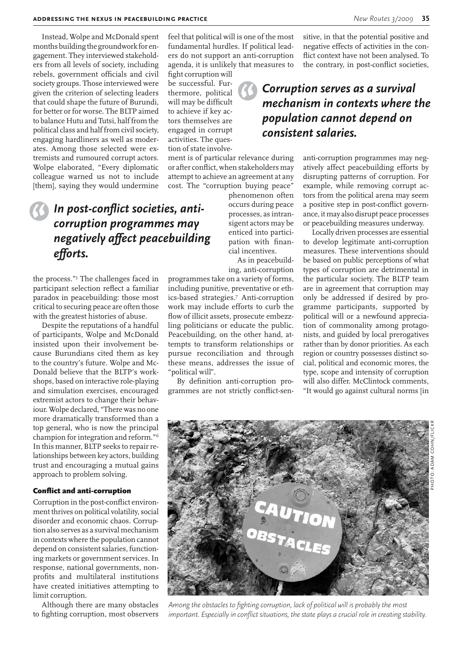Instead, Wolpe and McDonald spent months building the groundwork for engagement. They interviewed stakeholders from all levels of society, including rebels, government officials and civil society groups. Those interviewed were given the criterion of selecting leaders that could shape the future of Burundi, for better or for worse. The BLTP aimed to balance Hutu and Tutsi, half from the political class and half from civil society, engaging hardliners as well as moderates. Among those selected were extremists and rumoured corrupt actors. Wolpe elaborated, "Every diplomatic colleague warned us not to include [them], saying they would undermine

> In post-conflict societies, anticorruption programmes may negatively affect peacebuilding efforts.

the process."<sup>5</sup> The challenges faced in participant selection reflect a familiar paradox in peacebuilding: those most critical to securing peace are often those with the greatest histories of abuse.

Despite the reputations of a handful of participants, Wolpe and McDonald insisted upon their involvement because Burundians cited them as key to the country's future. Wolpe and Mc-Donald believe that the BLTP's workshops, based on interactive role-playing and simulation exercises, encouraged extremist actors to change their behaviour. Wolpe declared, "There was no one more dramatically transformed than a top general, who is now the principal champion for integration and reform."<sup>6</sup> In this manner, BLTP seeks to repair relationships between key actors, building trust and encouraging a mutual gains approach to problem solving.

#### **Conflict and anti-corruption**

Corruption in the post-conflict environment thrives on political volatility, social disorder and economic chaos. Corruption also serves as a survival mechanism in contexts where the population cannot depend on consistent salaries, functioning markets or government services. In response, national governments, nonprofits and multilateral institutions have created initiatives attempting to limit corruption.

Although there are many obstacles to fighting corruption, most observers

feel that political will is one of the most fundamental hurdles. If political leaders do not support an anti-corruption agenda, it is unlikely that measures to

fight corruption will be successful. Furthermore, political will may be difficult to achieve if key actors themselves are engaged in corrupt activities. The question of state involve-

ment is of particular relevance during or after conflict, when stakeholders may attempt to achieve an agreement at any cost. The "corruption buying peace"

> phenomenon often occurs during peace processes, as intransigent actors may be enticed into participation with financial incentives.

As in peacebuilding, anti-corruption

programmes take on a variety of forms, including punitive, preventative or ethics-based strategies.7 Anti-corruption work may include efforts to curb the flow of illicit assets, prosecute embezzling politicians or educate the public. Peacebuilding, on the other hand, attempts to transform relationships or pursue reconciliation and through these means, addresses the issue of "political will".

By definition anti-corruption programmes are not strictly conflict-sensitive, in that the potential positive and negative effects of activities in the conflict context have not been analysed. To the contrary, in post-conflict societies,

### Corruption serves as a survival mechanism in contexts where the population cannot depend on consistent salaries.

anti-corruption programmes may negatively affect peacebuilding efforts by disrupting patterns of corruption. For example, while removing corrupt actors from the political arena may seem a positive step in post-conflict governance, it may also disrupt peace processes or peacebuilding measures underway.

Locally driven processes are essential to develop legitimate anti-corruption measures. These interventions should be based on public perceptions of what types of corruption are detrimental in the particular society. The BLTP team are in agreement that corruption may only be addressed if desired by programme participants, supported by political will or a newfound appreciation of commonality among protagonists, and guided by local prerogatives rather than by donor priorities. As each region or country possesses distinct social, political and economic mores, the type, scope and intensity of corruption will also differ. McClintock comments. "It would go against cultural norms [in



Among the obstacles to fighting corruption, lack of political will is probably the most important. Especially in conflict situations, the state plays a crucial role in creating stability.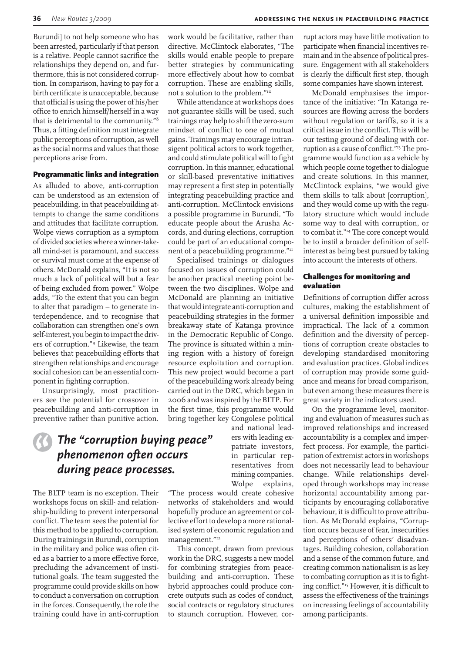Burundi] to not help someone who has been arrested, particularly if that person is a relative. People cannot sacrifice the relationships they depend on, and furthermore, this is not considered corruption. In comparison, having to pay for a birth certificate is unacceptable, because that official is using the power of his/her office to enrich himself/herself in a way that is detrimental to the community."<sup>8</sup> Thus, a fitting definition must integrate public perceptions of corruption, as well as the social norms and values that those perceptions arise from.

### **Programmatic links and integration**

As alluded to above, anti-corruption can be understood as an extension of peacebuilding, in that peacebuilding attempts to change the same conditions and attitudes that facilitate corruption. Wolpe views corruption as a symptom of divided societies where a winner-takeall mind-set is paramount, and success or survival must come at the expense of others. McDonald explains, "It is not so much a lack of political will but a fear of being excluded from power." Wolpe adds, "To the extent that you can begin to alter that paradigm - to generate interdependence, and to recognise that collaboration can strengthen one's own self-interest, you begin to impact the drivers of corruption."<sup>9</sup> Likewise, the team believes that peacebuilding efforts that strengthen relationships and encourage social cohesion can be an essential component in fighting corruption.

Unsurprisingly, most practitioners see the potential for crossover in peacebuilding and anti-corruption in preventive rather than punitive action.

### The "corruption buying peace" phenomenon often occurs during peace processes.

The BLTP team is no exception. Their workshops focus on skill- and relationship-building to prevent interpersonal conflict. The team sees the potential for this method to be applied to corruption. During trainings in Burundi, corruption in the military and police was often cited as a barrier to a more effective force. precluding the advancement of institutional goals. The team suggested the programme could provide skills on how to conduct a conversation on corruption in the forces. Consequently, the role the training could have in anti-corruption

work would be facilitative, rather than directive. McClintock elaborates, "The skills would enable people to prepare better strategies by communicating more effectively about how to combat corruption. These are enabling skills, not a solution to the problem."<sup>10</sup>

While attendance at workshops does not guarantee skills will be used, such trainings may help to shift the zero-sum mindset of conflict to one of mutual gains. Trainings may encourage intransigent political actors to work together, and could stimulate political will to fight corruption. In this manner, educational or skill-based preventative initiatives may represent a first step in potentially integrating peacebuilding practice and anti-corruption. McClintock envisions a possible programme in Burundi, "To educate people about the Arusha Accords, and during elections, corruption could be part of an educational component of a peacebuilding programme."11

Specialised trainings or dialogues focused on issues of corruption could be another practical meeting point between the two disciplines. Wolpe and McDonald are planning an initiative that would integrate anti-corruption and peacebuilding strategies in the former breakaway state of Katanga province in the Democratic Republic of Congo. The province is situated within a mining region with a history of foreign resource exploitation and corruption. This new project would become a part of the peacebuilding work already being carried out in the DRC, which began in 2006 and was inspired by the BLTP. For the first time, this programme would bring together key Congolese political

> and national leaders with leading expatriate investors. in particular representatives from mining companies. Wolpe explains,

"The process would create cohesive networks of stakeholders and would hopefully produce an agreement or collective effort to develop a more rationalised system of economic regulation and management."<sup>12</sup>

This concept, drawn from previous work in the DRC, suggests a new model for combining strategies from peacebuilding and anti-corruption. These hybrid approaches could produce concrete outputs such as codes of conduct, social contracts or regulatory structures to staunch corruption. However, cor-

rupt actors may have little motivation to participate when financial incentives remain and in the absence of political pressure. Engagement with all stakeholders is clearly the difficult first step, though some companies have shown interest.

McDonald emphasises the importance of the initiative: "In Katanga resources are flowing across the borders without regulation or tariffs, so it is a critical issue in the conflict. This will be our testing ground of dealing with corruption as a cause of conflict."<sup>13</sup> The programme would function as a vehicle by which people come together to dialogue and create solutions. In this manner, McClintock explains, "we would give them skills to talk about [corruption], and they would come up with the regulatory structure which would include some way to deal with corruption, or to combat it."<sup>14</sup> The core concept would be to instil a broader definition of selfinterest as being best pursued by taking into account the interests of others.

### **Challenges for monitoring and** evaluation

Definitions of corruption differ across cultures, making the establishment of a universal definition impossible and impractical. The lack of a common definition and the diversity of perceptions of corruption create obstacles to developing standardised monitoring and evaluation practices. Global indices of corruption may provide some guidance and means for broad comparison, but even among these measures there is great variety in the indicators used.

On the programme level, monitoring and evaluation of measures such as improved relationships and increased accountability is a complex and imperfect process. For example, the participation of extremist actors in workshops does not necessarily lead to behaviour change. While relationships developed through workshops may increase horizontal accountability among participants by encouraging collaborative behaviour, it is difficult to prove attribution. As McDonald explains, "Corruption occurs because of fear, insecurities and perceptions of others' disadvantages. Building cohesion, collaboration and a sense of the common future, and creating common nationalism is as key to combating corruption as it is to fighting conflict."<sup>15</sup> However, it is difficult to assess the effectiveness of the trainings on increasing feelings of accountability among participants.